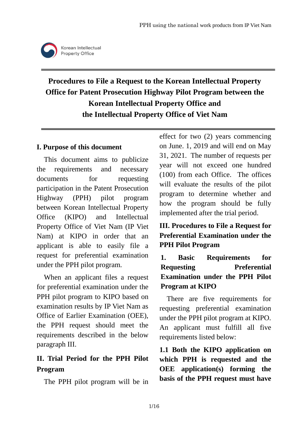

# **Procedures to File a Request to the Korean Intellectual Property Office for Patent Prosecution Highway Pilot Program between the Korean Intellectual Property Office and the Intellectual Property Office of Viet Nam**

#### **I. Purpose of this document**

This document aims to publicize the requirements and necessary documents for requesting participation in the Patent Prosecution Highway (PPH) pilot program between Korean Intellectual Property Office (KIPO) and Intellectual Property Office of Viet Nam (IP Viet Nam) at KIPO in order that an applicant is able to easily file a request for preferential examination under the PPH pilot program.

When an applicant files a request for preferential examination under the PPH pilot program to KIPO based on examination results by IP Viet Nam as Office of Earlier Examination (OEE), the PPH request should meet the requirements described in the below paragraph III.

# **II. Trial Period for the PPH Pilot Program**

The PPH pilot program will be in

effect for two (2) years commencing on June. 1, 2019 and will end on May 31, 2021. The number of requests per year will not exceed one hundred (100) from each Office. The offices will evaluate the results of the pilot program to determine whether and how the program should be fully implemented after the trial period.

## **III. Procedures to File a Request for Preferential Examination under the PPH Pilot Program**

**1. Basic Requirements for Requesting Preferential Examination under the PPH Pilot Program at KIPO**

There are five requirements for requesting preferential examination under the PPH pilot program at KIPO. An applicant must fulfill all five requirements listed below:

**1.1 Both the KIPO application on which PPH is requested and the OEE application(s) forming the basis of the PPH request must have**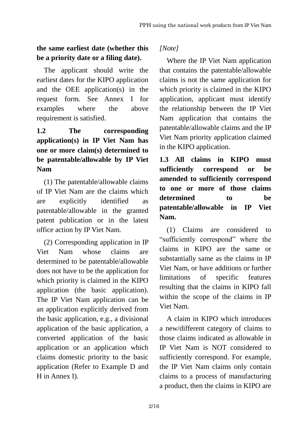## **the same earliest date (whether this be a priority date or a filing date).**

The applicant should write the earliest dates for the KIPO application and the OEE application(s) in the request form. See Annex I for examples where the above requirement is satisfied.

# **1.2 The corresponding application(s) in IP Viet Nam has one or more claim(s) determined to be patentable/allowable by IP Viet Nam**

(1) The patentable/allowable claims of IP Viet Nam are the claims which are explicitly identified as patentable/allowable in the granted patent publication or in the latest office action by IP Viet Nam.

(2) Corresponding application in IP Viet Nam whose claims are determined to be patentable/allowable does not have to be the application for which priority is claimed in the KIPO application (the basic application). The IP Viet Nam application can be an application explicitly derived from the basic application, e.g., a divisional application of the basic application, a converted application of the basic application or an application which claims domestic priority to the basic application (Refer to Example D and H in Annex I).

*[Note]*

Where the IP Viet Nam application that contains the patentable/allowable claims is not the same application for which priority is claimed in the KIPO application, applicant must identify the relationship between the IP Viet Nam application that contains the patentable/allowable claims and the IP Viet Nam priority application claimed in the KIPO application.

**1.3 All claims in KIPO must sufficiently correspond or be amended to sufficiently correspond to one or more of those claims determined to be patentable/allowable in IP Viet Nam.**

(1) Claims are considered to "sufficiently correspond" where the claims in KIPO are the same or substantially same as the claims in IP Viet Nam, or have additions or further limitations of specific features resulting that the claims in KIPO fall within the scope of the claims in IP Viet Nam.

A claim in KIPO which introduces a new/different category of claims to those claims indicated as allowable in IP Viet Nam is NOT considered to sufficiently correspond. For example, the IP Viet Nam claims only contain claims to a process of manufacturing a product, then the claims in KIPO are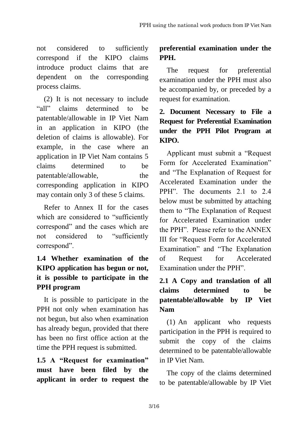not considered to sufficiently correspond if the KIPO claims introduce product claims that are dependent on the corresponding process claims.

(2) It is not necessary to include "all" claims determined to be patentable/allowable in IP Viet Nam in an application in KIPO (the deletion of claims is allowable). For example, in the case where an application in IP Viet Nam contains 5 claims determined to be patentable/allowable, the corresponding application in KIPO may contain only 3 of these 5 claims.

Refer to Annex II for the cases which are considered to "sufficiently correspond" and the cases which are not considered to "sufficiently correspond".

# **1.4 Whether examination of the KIPO application has begun or not, it is possible to participate in the PPH program**

It is possible to participate in the PPH not only when examination has not begun, but also when examination has already begun, provided that there has been no first office action at the time the PPH request is submitted.

**1.5 A "Request for examination" must have been filed by the applicant in order to request the** 

# **preferential examination under the PPH.**

The request for preferential examination under the PPH must also be accompanied by, or preceded by a request for examination.

# **2. Document Necessary to File a Request for Preferential Examination under the PPH Pilot Program at KIPO.**

Applicant must submit a "Request Form for Accelerated Examination" and "The Explanation of Request for Accelerated Examination under the PPH". The documents 2.1 to 2.4 below must be submitted by attaching them to "The Explanation of Request for Accelerated Examination under the PPH". Please refer to the ANNEX III for "Request Form for Accelerated Examination" and "The Explanation of Request for Accelerated Examination under the PPH".

# **2.1 A Copy and translation of all claims determined to be patentable/allowable by IP Viet Nam**

(1) An applicant who requests participation in the PPH is required to submit the copy of the claims determined to be patentable/allowable in IP Viet Nam.

The copy of the claims determined to be patentable/allowable by IP Viet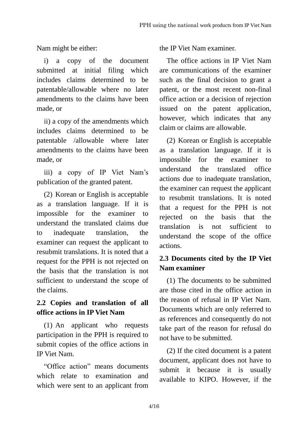Nam might be either:

i) a copy of the document submitted at initial filing which includes claims determined to be patentable/allowable where no later amendments to the claims have been made, or

ii) a copy of the amendments which includes claims determined to be patentable /allowable where later amendments to the claims have been made, or

iii) a copy of IP Viet Nam"s publication of the granted patent.

(2) Korean or English is acceptable as a translation language. If it is impossible for the examiner to understand the translated claims due to inadequate translation, the examiner can request the applicant to resubmit translations. It is noted that a request for the PPH is not rejected on the basis that the translation is not sufficient to understand the scope of the claims.

# **2.2 Copies and translation of all office actions in IP Viet Nam**

(1) An applicant who requests participation in the PPH is required to submit copies of the office actions in IP Viet Nam.

"Office action" means documents which relate to examination and which were sent to an applicant from the IP Viet Nam examiner.

The office actions in IP Viet Nam are communications of the examiner such as the final decision to grant a patent, or the most recent non-final office action or a decision of rejection issued on the patent application, however, which indicates that any claim or claims are allowable.

(2) Korean or English is acceptable as a translation language. If it is impossible for the examiner to understand the translated office actions due to inadequate translation, the examiner can request the applicant to resubmit translations. It is noted that a request for the PPH is not rejected on the basis that the translation is not sufficient to understand the scope of the office actions.

# **2.3 Documents cited by the IP Viet Nam examiner**

(1) The documents to be submitted are those cited in the office action in the reason of refusal in IP Viet Nam. Documents which are only referred to as references and consequently do not take part of the reason for refusal do not have to be submitted.

(2) If the cited document is a patent document, applicant does not have to submit it because it is usually available to KIPO. However, if the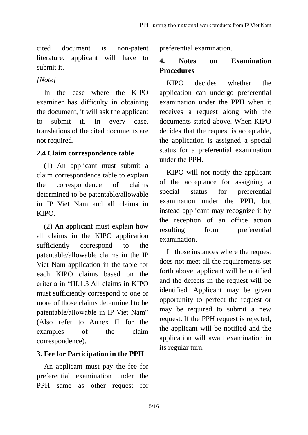cited document is non-patent literature, applicant will have to submit it.

#### *[Note]*

In the case where the KIPO examiner has difficulty in obtaining the document, it will ask the applicant to submit it. In every case, translations of the cited documents are not required.

## **2.4 Claim correspondence table**

(1) An applicant must submit a claim correspondence table to explain the correspondence of claims determined to be patentable/allowable in IP Viet Nam and all claims in KIPO.

(2) An applicant must explain how all claims in the KIPO application sufficiently correspond to the patentable/allowable claims in the IP Viet Nam application in the table for each KIPO claims based on the criteria in "III.1.3 All claims in KIPO must sufficiently correspond to one or more of those claims determined to be patentable/allowable in IP Viet Nam" (Also refer to Annex II for the examples of the claim correspondence).

## **3. Fee for Participation in the PPH**

An applicant must pay the fee for preferential examination under the PPH same as other request for preferential examination.

## **4. Notes on Examination Procedures**

KIPO decides whether the application can undergo preferential examination under the PPH when it receives a request along with the documents stated above. When KIPO decides that the request is acceptable, the application is assigned a special status for a preferential examination under the PPH.

KIPO will not notify the applicant of the acceptance for assigning a special status for preferential examination under the PPH, but instead applicant may recognize it by the reception of an office action resulting from preferential examination.

In those instances where the request does not meet all the requirements set forth above, applicant will be notified and the defects in the request will be identified. Applicant may be given opportunity to perfect the request or may be required to submit a new request. If the PPH request is rejected, the applicant will be notified and the application will await examination in its regular turn.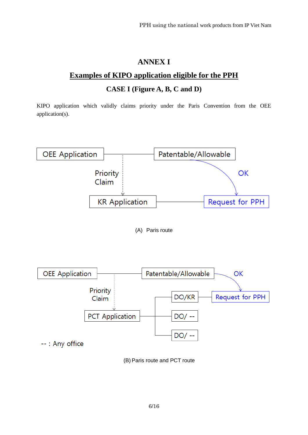# **ANNEX I**

#### **Examples of KIPO application eligible for the PPH**

#### **CASE I (Figure A, B, C and D)**

KIPO application which validly claims priority under the Paris Convention from the OEE application(s).



(A) Paris route



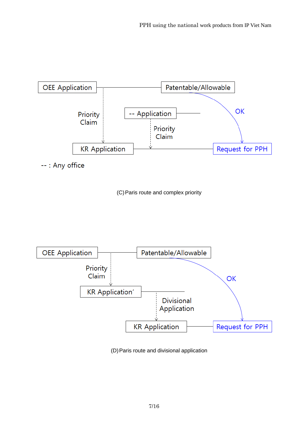

--: Any office





(D)Paris route and divisional application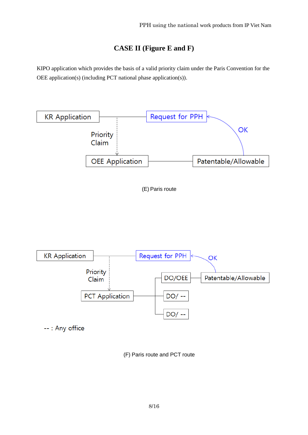#### **CASE II (Figure E and F)**

KIPO application which provides the basis of a valid priority claim under the Paris Convention for the OEE application(s) (including PCT national phase application(s)).



(F) Paris route and PCT route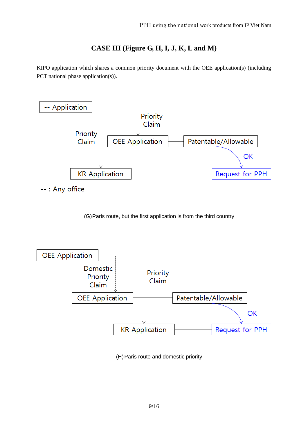#### **CASE III (Figure G, H, I, J, K, L and M)**

KIPO application which shares a common priority document with the OEE application(s) (including PCT national phase application(s)).



--: Any office

(G)Paris route, but the first application is from the third country



(H)Paris route and domestic priority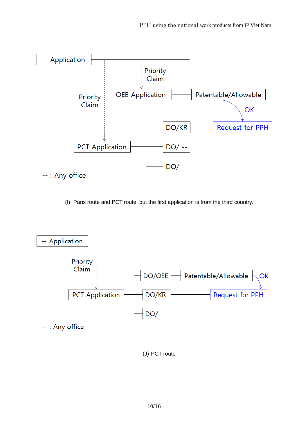

(I) Paris route and PCT route, but the first application is from the third country.



(J) PCT route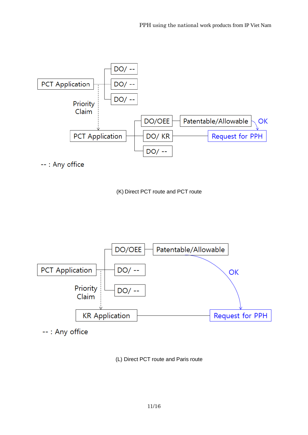

--: Any office





--: Any office

(L) Direct PCT route and Paris route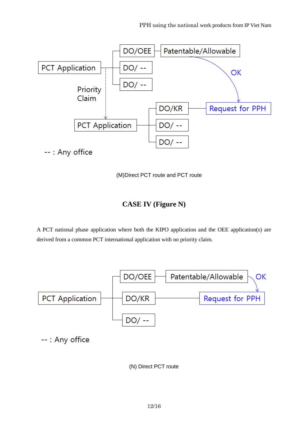

(M)Direct PCT route and PCT route

#### **CASE IV (Figure N)**

A PCT national phase application where both the KIPO application and the OEE application(s) are derived from a common PCT international application with no priority claim.



(N) Direct PCT route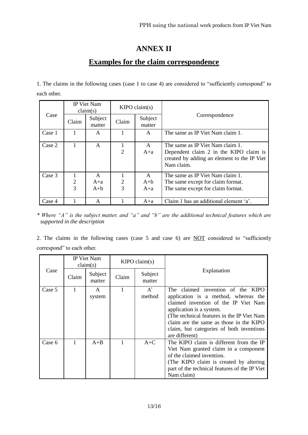## **ANNEX II**

### **Examples for the claim correspondence**

1. The claims in the following cases (case 1 to case 4) are considered to "sufficiently correspond" to each other.

| Case   | IP Viet Nam<br>claim(s) |                                  | KIPO claim(s)  |                                  |                                                                                                                                         |
|--------|-------------------------|----------------------------------|----------------|----------------------------------|-----------------------------------------------------------------------------------------------------------------------------------------|
|        | Claim                   | Subject<br>matter                | Claim          | Subject<br>matter                | Correspondence                                                                                                                          |
| Case 1 |                         | A                                |                | A                                | The same as IP Viet Nam claim 1.                                                                                                        |
| Case 2 |                         | A                                | $\overline{2}$ | $\mathsf{A}$<br>$A+a$            | The same as IP Viet Nam claim 1.<br>Dependent claim 2 in the KIPO claim is<br>created by adding an element to the IP Viet<br>Nam claim. |
| Case 3 | 2<br>3                  | $\mathsf{A}$<br>$A + a$<br>$A+b$ | 2<br>3         | $\mathsf{A}$<br>$A+b$<br>$A + a$ | The same as IP Viet Nam claim 1.<br>The same except for claim format.<br>The same except for claim format.                              |
| Case 4 |                         | A                                |                | $A + a$                          | Claim 1 has an additional element 'a'.                                                                                                  |

*\* Where "A" is the subject matter, and "a" and "b" are the additional technical features which are supported in the description*

2. The claims in the following cases (case 5 and case 6) are NOT considered to "sufficiently correspond" to each other.

| Case   | IP Viet Nam<br>claim(s) |                        | KIPO claim(s) |                   |                                                                                                                                                                                                                                                                                                      |
|--------|-------------------------|------------------------|---------------|-------------------|------------------------------------------------------------------------------------------------------------------------------------------------------------------------------------------------------------------------------------------------------------------------------------------------------|
|        | Claim                   | Subject<br>matter      | Claim         | Subject<br>matter | Explanation                                                                                                                                                                                                                                                                                          |
| Case 5 | 1                       | $\mathsf{A}$<br>system | 1             | $A^*$<br>method   | The claimed invention of the KIPO<br>application is a method, whereas the<br>claimed invention of the IP Viet Nam<br>application is a system.<br>(The technical features in the IP Viet Nam<br>claim are the same as those in the KIPO<br>claim, but categories of both inventions<br>are different) |
| Case 6 |                         | $A + B$                |               | $A+C$             | The KIPO claim is different from the IP<br>Viet Nam granted claim in a component<br>of the claimed invention.<br>(The KIPO claim is created by altering<br>part of the technical features of the IP Viet<br>Nam claim)                                                                               |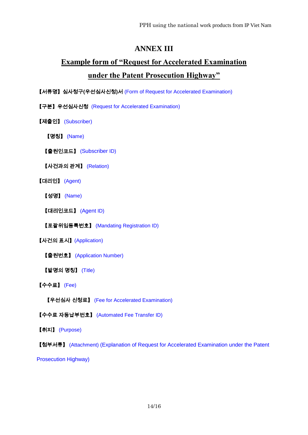#### **ANNEX III**

# **Example form of "Request for Accelerated Examination under the Patent Prosecution Highway"**

【서류명】심사청구**(**우선심사신청**)**서 (Form of Request for Accelerated Examination)

【구분】우선심사신청 (Request for Accelerated Examination)

【제출인】 (Subscriber)

【명칭】 (Name)

【출원인코드】 (Subscriber ID)

【사건과의 관계】 (Relation)

【대리인】 (Agent)

【성명】 (Name)

【대리인코드】 (Agent ID)

【포괄위임등록번호】 (Mandating Registration ID)

【사건의 표시】(Application)

【출원번호】 (Application Number)

【발명의 명칭】 (Title)

【수수료】 (Fee)

【우선심사 신청료】 (Fee for Accelerated Examination)

【수수료 자동납부번호】 (Automated Fee Transfer ID)

【취지】 (Purpose)

【첨부서류】 (Attachment) (Explanation of Request for Accelerated Examination under the Patent

Prosecution Highway)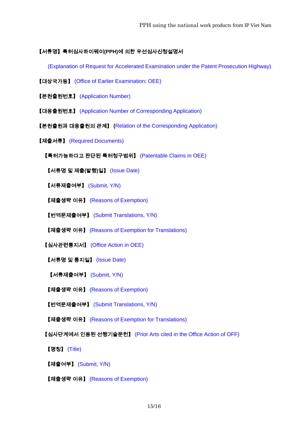#### 【서류명】특허심사하이웨이**(PPH)**에 의한 우선심사신청설명서

(Explanation of Request for Accelerated Examination under the Patent Prosecution Highway)

- 【대상국가등】 (Office of Earlier Examination; OEE)
- 【본원출원번호】 (Application Number)
- 【대응출원번호】 (Application Number of Corresponding Application)
- 【본원출원과 대응출원의 관계】 **(**Relation of the Corresponding Application)
- 【제출서류】 (Required Documents)
	- 【특허가능하다고 판단된 특허청구범위】 (Patentable Claims in OEE)
	- 【서류명 및 제출**(**발행**)**일】 (Issue Date)
	- 【서류제출여부】 (Submit, Y/N)
	- 【제출생략 이유】 (Reasons of Exemption)
	- 【번역문제출여부】 (Submit Translations, Y/N)
	- 【제출생략 이유】 (Reasons of Exemption for Translations)
	- 【심사관련통지서】 (Office Action in OEE)
	- 【서류명 및 통지일】 (Issue Date)
	- 【서류제출여부】 (Submit, Y/N)
	- 【제출생략 이유】 (Reasons of Exemption)
	- 【번역문제출여부】 (Submit Translations, Y/N)
	- 【제출생략 이유】 (Reasons of Exemption for Translations)
	- 【심사단계에서 인용된 선행기술문헌】 (Prior Arts cited in the Office Action of OFF)
	- 【명칭】 (Title)
	- 【제출여부】 (Submit, Y/N)
	- 【제출생략 이유】 (Reasons of Exemption)